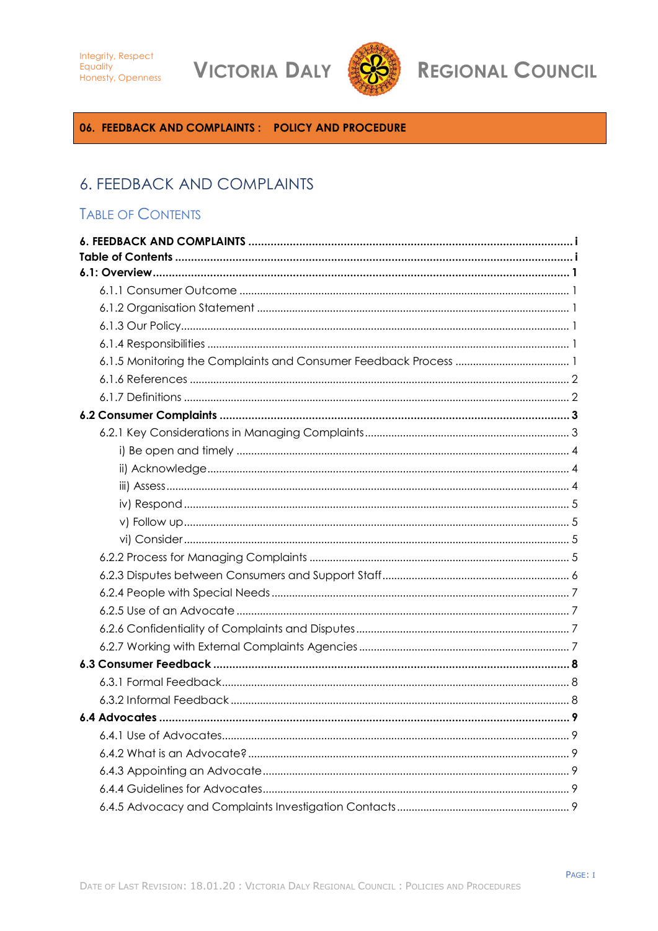**VICTORIA DALY** 



# **REGIONAL COUNCIL**

# <span id="page-0-0"></span>06. FEEDBACK AND COMPLAINTS: POLICY AND PROCEDURE

# **6. FEEDBACK AND COMPLAINTS**

# <span id="page-0-1"></span>**TABLE OF CONTENTS**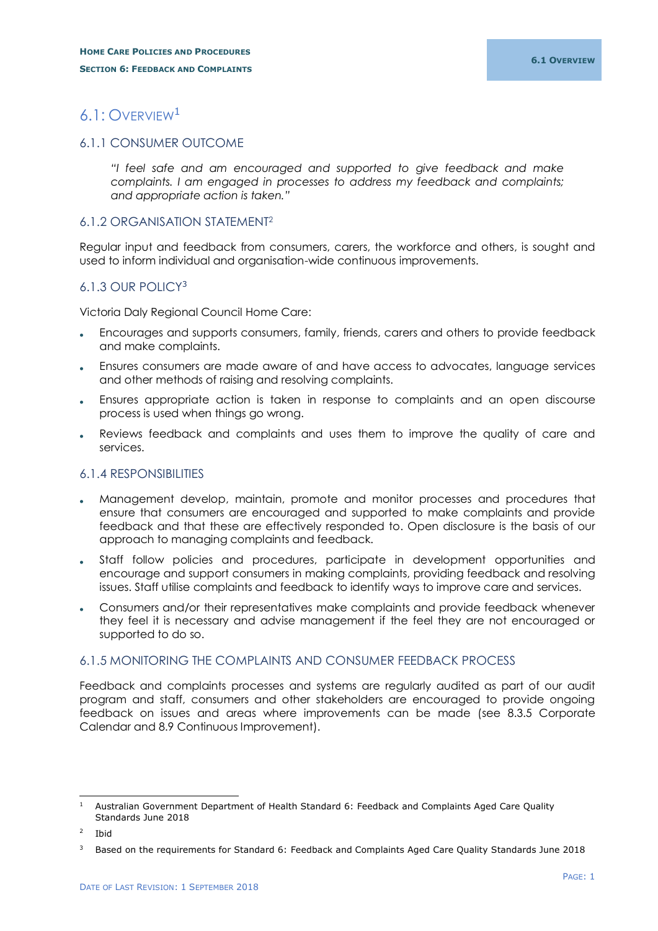# <span id="page-1-0"></span>6.1: OVERVIEW<sup>1</sup>

# <span id="page-1-1"></span>6.1.1 CONSUMER OUTCOME

*"I feel safe and am encouraged and supported to give feedback and make complaints. I am engaged in processes to address my feedback and complaints; and appropriate action is taken."*

### <span id="page-1-2"></span>6.1.2 ORGANISATION STATEMENT<sup>2</sup>

Regular input and feedback from consumers, carers, the workforce and others, is sought and used to inform individual and organisation-wide continuous improvements.

# <span id="page-1-3"></span>6.1.3 OUR POLICY<sup>3</sup>

Victoria Daly Regional Council Home Care:

- Encourages and supports consumers, family, friends, carers and others to provide feedback and make complaints.
- Ensures consumers are made aware of and have access to advocates, language services and other methods of raising and resolving complaints.
- Ensures appropriate action is taken in response to complaints and an open discourse process is used when things go wrong.
- Reviews feedback and complaints and uses them to improve the quality of care and services.

### <span id="page-1-4"></span>6.1.4 RESPONSIBILITIES

- Management develop, maintain, promote and monitor processes and procedures that ensure that consumers are encouraged and supported to make complaints and provide feedback and that these are effectively responded to. Open disclosure is the basis of our approach to managing complaints and feedback.
- Staff follow policies and procedures, participate in development opportunities and encourage and support consumers in making complaints, providing feedback and resolving issues. Staff utilise complaints and feedback to identify ways to improve care and services.
- Consumers and/or their representatives make complaints and provide feedback whenever they feel it is necessary and advise management if the feel they are not encouraged or supported to do so.

# <span id="page-1-5"></span>6.1.5 MONITORING THE COMPLAINTS AND CONSUMER FEEDBACK PROCESS

Feedback and complaints processes and systems are regularly audited as part of our audit program and staff, consumers and other stakeholders are encouraged to provide ongoing feedback on issues and areas where improvements can be made (see 8.3.5 Corporate Calendar and 8.9 Continuous Improvement).

-

<sup>1</sup> Australian Government Department of Health Standard 6: Feedback and Complaints Aged Care Quality Standards June 2018

<sup>2</sup> Ibid

<sup>3</sup> Based on the requirements for Standard 6: Feedback and Complaints Aged Care Quality Standards June 2018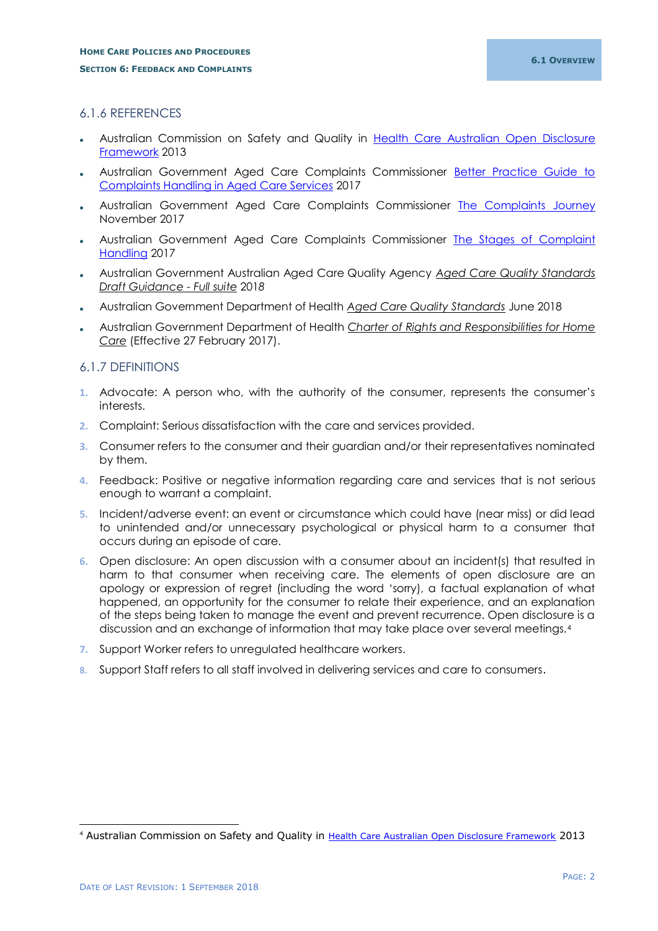# <span id="page-2-0"></span>6.1.6 REFERENCES

- Australian Commission on Safety and Quality in Health Care Australian Open Disclosure [Framework](file:///C:/Users/vdrccsm/AppData/Local/Microsoft/Windows/INetCache/AppData/Local/Microsoft/Windows/INetCache/Content.Outlook/R1L3DI4N/AAA%20Resources/DONE%20Australian-Open-Disclosure-Framework-Feb-2014.pdf) 2013
- Australian Government Aged Care Complaints Commissioner [Better Practice Guide to](https://www.agedcarecomplaints.gov.au/internet/accc/publishing.nsf/Content/better-practice-guide-to-complaints-handling-in-aged-care)  [Complaints Handling in Aged Care Services](https://www.agedcarecomplaints.gov.au/internet/accc/publishing.nsf/Content/better-practice-guide-to-complaints-handling-in-aged-care) 2017
- Australian Government Aged Care Complaints Commissioner [The Complaints Journey](https://www.agedcarecomplaints.gov.au/internet/accc/publishing.nsf/Content/the-complaints-journey) November 2017
- Australian Government Aged Care Complaints Commissioner [The Stages of Complaint](https://www.agedcarecomplaints.gov.au/internet/accc/publishing.nsf/Content/the-stages-of-complaint-handling)  [Handling](https://www.agedcarecomplaints.gov.au/internet/accc/publishing.nsf/Content/the-stages-of-complaint-handling) 2017
- Australian Government Australian Aged Care Quality Agency *Aged Care Quality Standards Draft Guidance - Full suite* 201*8*
- Australian Government Department of Health *Aged Care Quality Standards* June 2018
- Australian Government Department of Health *Charter of Rights and Responsibilities for Home Care* (Effective 27 February 2017).

### <span id="page-2-1"></span>6.1.7 DEFINITIONS

- **1.** Advocate: A person who, with the authority of the consumer, represents the consumer's interests.
- **2.** Complaint: Serious dissatisfaction with the care and services provided.
- **3.** Consumer refers to the consumer and their guardian and/or their representatives nominated by them.
- **4.** Feedback: Positive or negative information regarding care and services that is not serious enough to warrant a complaint.
- **5.** Incident/adverse event: an event or circumstance which could have (near miss) or did lead to unintended and/or unnecessary psychological or physical harm to a consumer that occurs during an episode of care.
- **6.** Open disclosure: An open discussion with a consumer about an incident(s) that resulted in harm to that consumer when receiving care. The elements of open disclosure are an apology or expression of regret (including the word 'sorry), a factual explanation of what happened, an opportunity for the consumer to relate their experience, and an explanation of the steps being taken to manage the event and prevent recurrence. Open disclosure is a discussion and an exchange of information that may take place over several meetings.<sup>4</sup>
- **7.** Support Worker refers to unregulated healthcare workers.
- **8.** Support Staff refers to all staff involved in delivering services and care to consumers.

-

<sup>4</sup> Australian Commission on Safety and Quality in [Health Care Australian Open Disclosure Framework](file:///C:/Users/vdrccsm/AppData/Local/Microsoft/Windows/INetCache/AppData/Local/Microsoft/Windows/INetCache/Content.Outlook/R1L3DI4N/AAA%20Resources/DONE%20Australian-Open-Disclosure-Framework-Feb-2014.pdf) 2013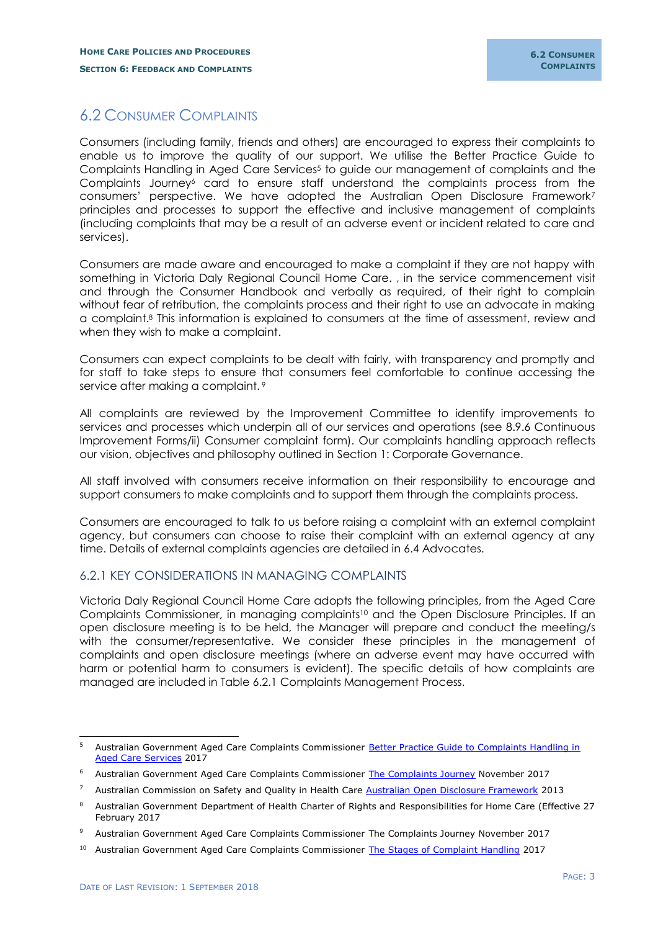# <span id="page-3-0"></span>6.2 CONSUMER COMPLAINTS

Consumers (including family, friends and others) are encouraged to express their complaints to enable us to improve the quality of our support. We utilise the Better Practice Guide to Complaints Handling in Aged Care Services<sup>5</sup> to guide our management of complaints and the Complaints Journey<sup>6</sup> card to ensure staff understand the complaints process from the consumers' perspective. We have adopted the Australian Open Disclosure Framework<sup>7</sup> principles and processes to support the effective and inclusive management of complaints (including complaints that may be a result of an adverse event or incident related to care and services).

Consumers are made aware and encouraged to make a complaint if they are not happy with something in Victoria Daly Regional Council Home Care. , in the service commencement visit and through the Consumer Handbook and verbally as required, of their right to complain without fear of retribution, the complaints process and their right to use an advocate in making a complaint. <sup>8</sup> This information is explained to consumers at the time of assessment, review and when they wish to make a complaint.

Consumers can expect complaints to be dealt with fairly, with transparency and promptly and for staff to take steps to ensure that consumers feel comfortable to continue accessing the service after making a complaint. <sup>9</sup>

All complaints are reviewed by the Improvement Committee to identify improvements to services and processes which underpin all of our services and operations (see 8.9.6 Continuous Improvement Forms/ii) Consumer complaint form). Our complaints handling approach reflects our vision, objectives and philosophy outlined in Section 1: Corporate Governance.

All staff involved with consumers receive information on their responsibility to encourage and support consumers to make complaints and to support them through the complaints process.

Consumers are encouraged to talk to us before raising a complaint with an external complaint agency, but consumers can choose to raise their complaint with an external agency at any time. Details of external complaints agencies are detailed in 6.4 Advocates.

# <span id="page-3-1"></span>6.2.1 KEY CONSIDERATIONS IN MANAGING COMPLAINTS

Victoria Daly Regional Council Home Care adopts the following principles, from the Aged Care Complaints Commissioner, in managing complaints<sup>10</sup> and the Open Disclosure Principles. If an open disclosure meeting is to be held, the Manager will prepare and conduct the meeting/s with the consumer/representative. We consider these principles in the management of complaints and open disclosure meetings (where an adverse event may have occurred with harm or potential harm to consumers is evident). The specific details of how complaints are managed are included in Table 6.2.1 Complaints Management Process.

 $5<sup>1</sup>$ <sup>5</sup> Australian Government Aged Care Complaints Commissioner [Better Practice Guide to Complaints Handling in](https://www.agedcarecomplaints.gov.au/internet/accc/publishing.nsf/Content/better-practice-guide-to-complaints-handling-in-aged-care)  [Aged Care Services](https://www.agedcarecomplaints.gov.au/internet/accc/publishing.nsf/Content/better-practice-guide-to-complaints-handling-in-aged-care) 2017

<sup>&</sup>lt;sup>6</sup> Australian Government Aged Care Complaints Commissioner [The Complaints Journey](https://www.agedcarecomplaints.gov.au/internet/accc/publishing.nsf/Content/the-complaints-journey) November 2017

<sup>7</sup> Australian Commission on Safety and Quality in Health Care [Australian Open Disclosure Framework](file:///C:/Users/vdrccsm/AppData/Local/Microsoft/Windows/INetCache/AppData/Local/Microsoft/Windows/INetCache/Content.Outlook/R1L3DI4N/AAA%20Resources/Open-disclosure-principles-elements-and-process.doc) 2013

<sup>8</sup> Australian Government Department of Health Charter of Rights and Responsibilities for Home Care (Effective 27 February 2017

<sup>9</sup> Australian Government Aged Care Complaints Commissioner [The Complaints Journey](https://www.agedcarecomplaints.gov.au/internet/accc/publishing.nsf/Content/the-complaints-journey) November 2017

<sup>&</sup>lt;sup>10</sup> Australian Government Aged Care Complaints Commissioner [The Stages of Complaint Handling](https://www.agedcarecomplaints.gov.au/internet/accc/publishing.nsf/Content/the-stages-of-complaint-handling) 2017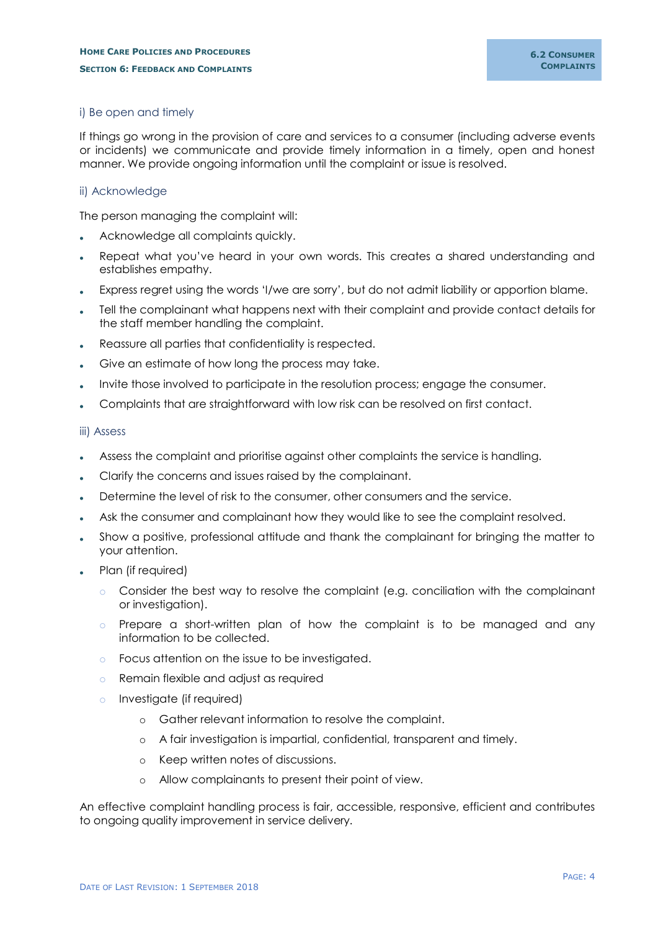#### <span id="page-4-0"></span>i) Be open and timely

If things go wrong in the provision of care and services to a consumer (including adverse events or incidents) we communicate and provide timely information in a timely, open and honest manner. We provide ongoing information until the complaint or issue is resolved.

#### <span id="page-4-1"></span>ii) Acknowledge

The person managing the complaint will:

- Acknowledge all complaints quickly.
- Repeat what you've heard in your own words. This creates a shared understanding and establishes empathy.
- Express regret using the words 'I/we are sorry', but do not admit liability or apportion blame.
- Tell the complainant what happens next with their complaint and provide contact details for the staff member handling the complaint.
- Reassure all parties that confidentiality is respected.
- Give an estimate of how long the process may take.
- Invite those involved to participate in the resolution process; engage the consumer.
- Complaints that are straightforward with low risk can be resolved on first contact.

#### <span id="page-4-2"></span>iii) Assess

- Assess the complaint and prioritise against other complaints the service is handling.
- Clarify the concerns and issues raised by the complainant.
- Determine the level of risk to the consumer, other consumers and the service.
- Ask the consumer and complainant how they would like to see the complaint resolved.
- Show a positive, professional attitude and thank the complainant for bringing the matter to your attention.
- Plan (if required)
	- o Consider the best way to resolve the complaint (e.g. conciliation with the complainant or investigation).
	- o Prepare a short-written plan of how the complaint is to be managed and any information to be collected.
	- o Focus attention on the issue to be investigated.
	- o Remain flexible and adjust as required
	- o Investigate (if required)
		- o Gather relevant information to resolve the complaint.
		- o A fair investigation is impartial, confidential, transparent and timely.
		- o Keep written notes of discussions.
		- o Allow complainants to present their point of view.

An effective complaint handling process is fair, accessible, responsive, efficient and contributes to ongoing quality improvement in service delivery.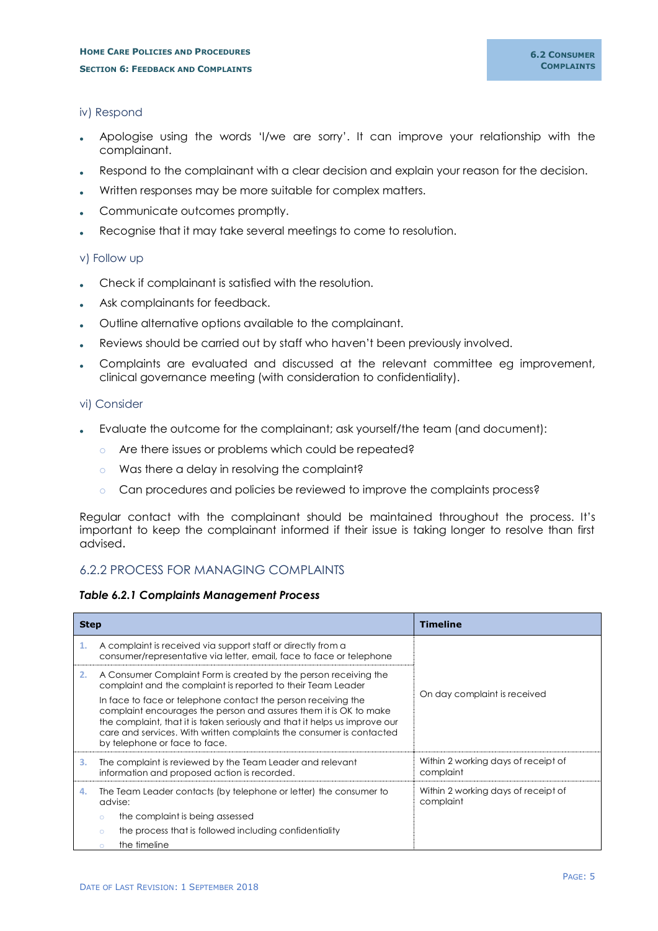#### <span id="page-5-0"></span>iv) Respond

- Apologise using the words 'I/we are sorry'. It can improve your relationship with the complainant.
- Respond to the complainant with a clear decision and explain your reason for the decision.
- Written responses may be more suitable for complex matters.
- Communicate outcomes promptly.
- Recognise that it may take several meetings to come to resolution.

#### <span id="page-5-1"></span>v) Follow up

- Check if complainant is satisfied with the resolution.
- Ask complainants for feedback.
- Outline alternative options available to the complainant.
- Reviews should be carried out by staff who haven't been previously involved.
- Complaints are evaluated and discussed at the relevant committee eg improvement, clinical governance meeting (with consideration to confidentiality).

#### <span id="page-5-2"></span>vi) Consider

- Evaluate the outcome for the complainant; ask yourself/the team (and document):
	- o Are there issues or problems which could be repeated?
	- o Was there a delay in resolving the complaint?
	- o Can procedures and policies be reviewed to improve the complaints process?

Regular contact with the complainant should be maintained throughout the process. It's important to keep the complainant informed if their issue is taking longer to resolve than first advised.

# <span id="page-5-3"></span>6.2.2 PROCESS FOR MANAGING COMPLAINTS

#### *Table 6.2.1 Complaints Management Process*

| <b>Step</b> |                                                                                                                                                                                                                                                                                                                           | <b>Timeline</b>                                  |  |  |
|-------------|---------------------------------------------------------------------------------------------------------------------------------------------------------------------------------------------------------------------------------------------------------------------------------------------------------------------------|--------------------------------------------------|--|--|
| 1.          | A complaint is received via support staff or directly from a<br>consumer/representative via letter, email, face to face or telephone                                                                                                                                                                                      |                                                  |  |  |
| 2.          | A Consumer Complaint Form is created by the person receiving the<br>complaint and the complaint is reported to their Team Leader                                                                                                                                                                                          |                                                  |  |  |
|             | In face to face or telephone contact the person receiving the<br>complaint encourages the person and assures them it is OK to make<br>the complaint, that it is taken seriously and that it helps us improve our<br>care and services. With written complaints the consumer is contacted<br>by telephone or face to face. | On day complaint is received                     |  |  |
| з.          | The complaint is reviewed by the Team Leader and relevant<br>information and proposed action is recorded.                                                                                                                                                                                                                 | Within 2 working days of receipt of<br>complaint |  |  |
| 4.          | The Team Leader contacts (by telephone or letter) the consumer to<br>advise:                                                                                                                                                                                                                                              | Within 2 working days of receipt of<br>complaint |  |  |
|             | the complaint is being assessed<br>$\circ$                                                                                                                                                                                                                                                                                |                                                  |  |  |
|             | the process that is followed including confidentiality<br>$\circ$                                                                                                                                                                                                                                                         |                                                  |  |  |
|             | the timeline                                                                                                                                                                                                                                                                                                              |                                                  |  |  |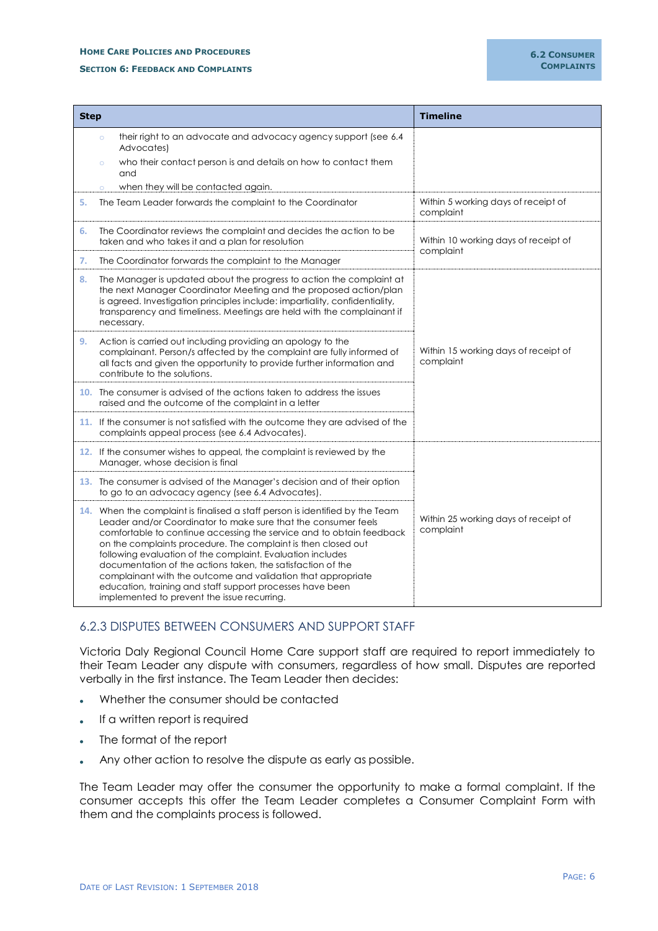#### **HOME CARE POLICIES AND PROCEDURES**

#### **SECTION 6: FEEDBACK AND COMPLAINTS**

| <b>Step</b> |                                                                                                                                                                                                                                                                                                                                                                                                                                                                                                                                                                                                  | <b>Timeline</b>                                   |  |  |  |
|-------------|--------------------------------------------------------------------------------------------------------------------------------------------------------------------------------------------------------------------------------------------------------------------------------------------------------------------------------------------------------------------------------------------------------------------------------------------------------------------------------------------------------------------------------------------------------------------------------------------------|---------------------------------------------------|--|--|--|
|             | their right to an advocate and advocacy agency support (see 6.4<br>$\circ$<br>Advocates)<br>who their contact person is and details on how to contact them<br>$\circ$<br>and                                                                                                                                                                                                                                                                                                                                                                                                                     |                                                   |  |  |  |
| 5.          | when they will be contacted again.<br>$\circ$<br>The Team Leader forwards the complaint to the Coordinator                                                                                                                                                                                                                                                                                                                                                                                                                                                                                       | Within 5 working days of receipt of               |  |  |  |
|             |                                                                                                                                                                                                                                                                                                                                                                                                                                                                                                                                                                                                  | complaint                                         |  |  |  |
| 6.          | The Coordinator reviews the complaint and decides the action to be<br>Within 10 working days of receipt of<br>taken and who takes it and a plan for resolution<br>complaint                                                                                                                                                                                                                                                                                                                                                                                                                      |                                                   |  |  |  |
| 7.          | The Coordinator forwards the complaint to the Manager                                                                                                                                                                                                                                                                                                                                                                                                                                                                                                                                            |                                                   |  |  |  |
| 8.          | The Manager is updated about the progress to action the complaint at<br>the next Manager Coordinator Meeting and the proposed action/plan<br>is agreed. Investigation principles include: impartiality, confidentiality,<br>transparency and timeliness. Meetings are held with the complainant if<br>necessary.                                                                                                                                                                                                                                                                                 |                                                   |  |  |  |
| 9.          | Action is carried out including providing an apology to the<br>Within 15 working days of receipt of<br>complainant. Person/s affected by the complaint are fully informed of<br>complaint<br>all facts and given the opportunity to provide further information and<br>contribute to the solutions.                                                                                                                                                                                                                                                                                              |                                                   |  |  |  |
|             | 10. The consumer is advised of the actions taken to address the issues<br>raised and the outcome of the complaint in a letter                                                                                                                                                                                                                                                                                                                                                                                                                                                                    |                                                   |  |  |  |
|             | 11. If the consumer is not satisfied with the outcome they are advised of the<br>complaints appeal process (see 6.4 Advocates).                                                                                                                                                                                                                                                                                                                                                                                                                                                                  |                                                   |  |  |  |
|             | 12. If the consumer wishes to appeal, the complaint is reviewed by the<br>Manager, whose decision is final                                                                                                                                                                                                                                                                                                                                                                                                                                                                                       |                                                   |  |  |  |
|             | 13. The consumer is advised of the Manager's decision and of their option<br>to go to an advocacy agency (see 6.4 Advocates).                                                                                                                                                                                                                                                                                                                                                                                                                                                                    |                                                   |  |  |  |
|             | 14. When the complaint is finalised a staff person is identified by the Team<br>Leader and/or Coordinator to make sure that the consumer feels<br>comfortable to continue accessing the service and to obtain feedback<br>on the complaints procedure. The complaint is then closed out<br>following evaluation of the complaint. Evaluation includes<br>documentation of the actions taken, the satisfaction of the<br>complainant with the outcome and validation that appropriate<br>education, training and staff support processes have been<br>implemented to prevent the issue recurring. | Within 25 working days of receipt of<br>complaint |  |  |  |

# <span id="page-6-0"></span>6.2.3 DISPUTES BETWEEN CONSUMERS AND SUPPORT STAFF

Victoria Daly Regional Council Home Care support staff are required to report immediately to their Team Leader any dispute with consumers, regardless of how small. Disputes are reported verbally in the first instance. The Team Leader then decides:

- Whether the consumer should be contacted
- . If a written report is required
- The format of the report
- Any other action to resolve the dispute as early as possible.

The Team Leader may offer the consumer the opportunity to make a formal complaint. If the consumer accepts this offer the Team Leader completes a Consumer Complaint Form with them and the complaints process is followed.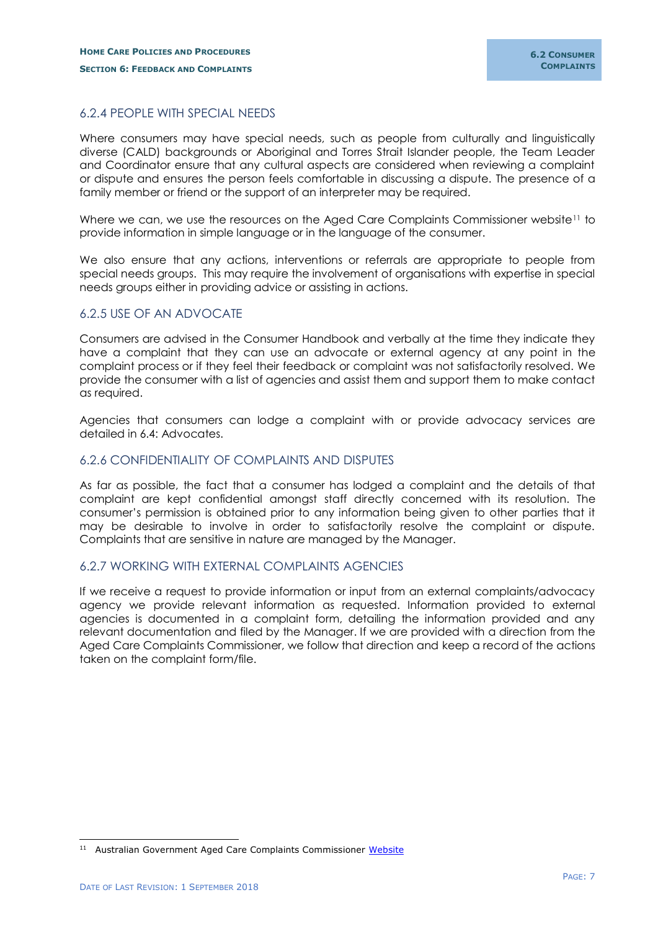# <span id="page-7-0"></span>6.2.4 PEOPLE WITH SPECIAL NEEDS

Where consumers may have special needs, such as people from culturally and linguistically diverse (CALD) backgrounds or Aboriginal and Torres Strait Islander people, the Team Leader and Coordinator ensure that any cultural aspects are considered when reviewing a complaint or dispute and ensures the person feels comfortable in discussing a dispute. The presence of a family member or friend or the support of an interpreter may be required.

Where we can, we use the resources on the Aged Care Complaints Commissioner website<sup>11</sup> to provide information in simple language or in the language of the consumer.

We also ensure that any actions, interventions or referrals are appropriate to people from special needs groups. This may require the involvement of organisations with expertise in special needs groups either in providing advice or assisting in actions.

# <span id="page-7-1"></span>6.2.5 USE OF AN ADVOCATE

Consumers are advised in the Consumer Handbook and verbally at the time they indicate they have a complaint that they can use an advocate or external agency at any point in the complaint process or if they feel their feedback or complaint was not satisfactorily resolved. We provide the consumer with a list of agencies and assist them and support them to make contact as required.

Agencies that consumers can lodge a complaint with or provide advocacy services are detailed in 6.4: Advocates.

### <span id="page-7-2"></span>6.2.6 CONFIDENTIALITY OF COMPLAINTS AND DISPUTES

As far as possible, the fact that a consumer has lodged a complaint and the details of that complaint are kept confidential amongst staff directly concerned with its resolution. The consumer's permission is obtained prior to any information being given to other parties that it may be desirable to involve in order to satisfactorily resolve the complaint or dispute. Complaints that are sensitive in nature are managed by the Manager.

### <span id="page-7-3"></span>6.2.7 WORKING WITH EXTERNAL COMPLAINTS AGENCIES

If we receive a request to provide information or input from an external complaints/advocacy agency we provide relevant information as requested. Information provided to external agencies is documented in a complaint form, detailing the information provided and any relevant documentation and filed by the Manager. If we are provided with a direction from the Aged Care Complaints Commissioner, we follow that direction and keep a record of the actions taken on the complaint form/file.

-

<sup>&</sup>lt;sup>11</sup> Australian Government Aged Care Complaints Commissioner [Website](https://www.agedcarecomplaints.gov.au/internet/accc/publishing.nsf/Content/Home)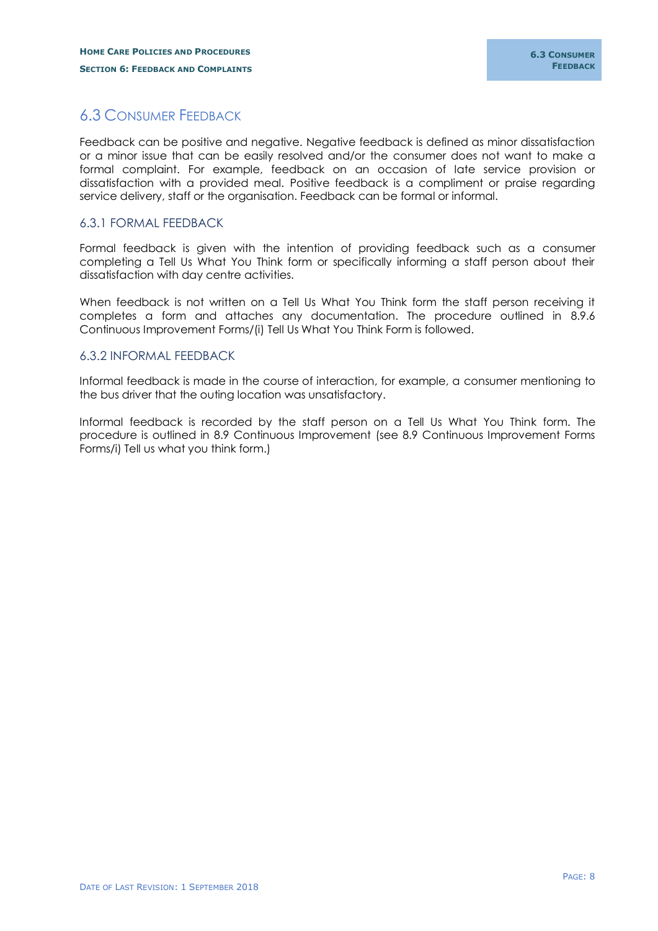# <span id="page-8-0"></span>6.3 CONSUMER FEEDBACK

Feedback can be positive and negative. Negative feedback is defined as minor dissatisfaction or a minor issue that can be easily resolved and/or the consumer does not want to make a formal complaint. For example, feedback on an occasion of late service provision or dissatisfaction with a provided meal. Positive feedback is a compliment or praise regarding service delivery, staff or the organisation. Feedback can be formal or informal.

# <span id="page-8-1"></span>6.3.1 FORMAL FEEDBACK

Formal feedback is given with the intention of providing feedback such as a consumer completing a Tell Us What You Think form or specifically informing a staff person about their dissatisfaction with day centre activities.

When feedback is not written on a Tell Us What You Think form the staff person receiving it completes a form and attaches any documentation. The procedure outlined in 8.9.6 Continuous Improvement Forms/(i) Tell Us What You Think Form is followed.

### <span id="page-8-2"></span>6.3.2 INFORMAL FEEDBACK

Informal feedback is made in the course of interaction, for example, a consumer mentioning to the bus driver that the outing location was unsatisfactory.

Informal feedback is recorded by the staff person on a Tell Us What You Think form. The procedure is outlined in 8.9 Continuous Improvement (see 8.9 Continuous Improvement Forms Forms/i) Tell us what you think form.)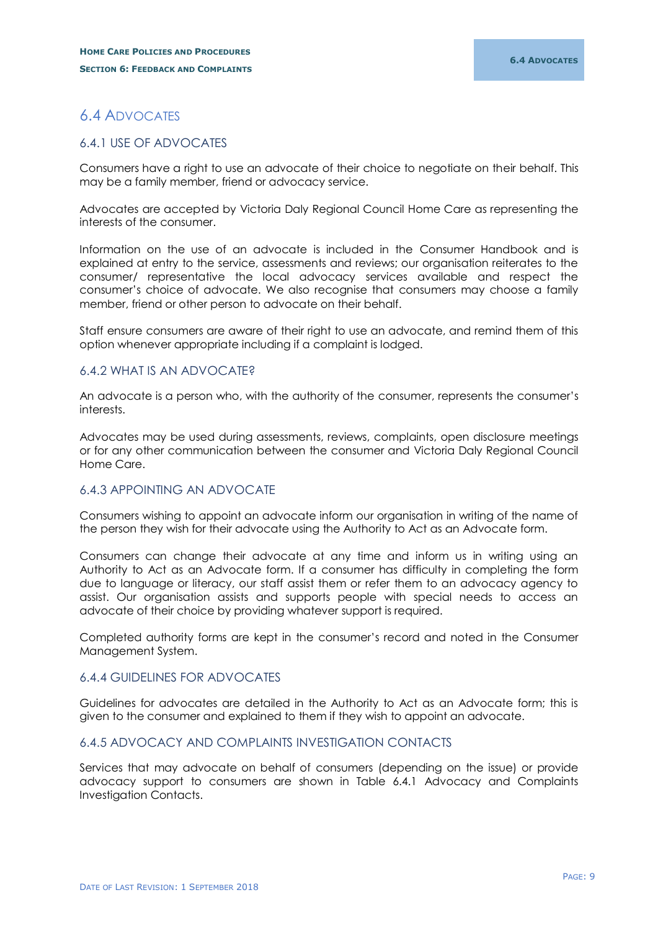# <span id="page-9-0"></span>6.4 ADVOCATES

# <span id="page-9-1"></span>6.4.1 USE OF ADVOCATES

Consumers have a right to use an advocate of their choice to negotiate on their behalf. This may be a family member, friend or advocacy service.

Advocates are accepted by Victoria Daly Regional Council Home Care as representing the interests of the consumer.

Information on the use of an advocate is included in the Consumer Handbook and is explained at entry to the service, assessments and reviews; our organisation reiterates to the consumer/ representative the local advocacy services available and respect the consumer's choice of advocate. We also recognise that consumers may choose a family member, friend or other person to advocate on their behalf.

Staff ensure consumers are aware of their right to use an advocate, and remind them of this option whenever appropriate including if a complaint is lodged.

# <span id="page-9-2"></span>6.4.2 WHAT IS AN ADVOCATE?

An advocate is a person who, with the authority of the consumer, represents the consumer's interests.

Advocates may be used during assessments, reviews, complaints, open disclosure meetings or for any other communication between the consumer and Victoria Daly Regional Council Home Care.

# <span id="page-9-3"></span>6.4.3 APPOINTING AN ADVOCATE

Consumers wishing to appoint an advocate inform our organisation in writing of the name of the person they wish for their advocate using the Authority to Act as an Advocate form.

Consumers can change their advocate at any time and inform us in writing using an Authority to Act as an Advocate form. If a consumer has difficulty in completing the form due to language or literacy, our staff assist them or refer them to an advocacy agency to assist. Our organisation assists and supports people with special needs to access an advocate of their choice by providing whatever support is required.

Completed authority forms are kept in the consumer's record and noted in the Consumer Management System.

# <span id="page-9-4"></span>6.4.4 GUIDELINES FOR ADVOCATES

Guidelines for advocates are detailed in the Authority to Act as an Advocate form; this is given to the consumer and explained to them if they wish to appoint an advocate.

#### <span id="page-9-5"></span>6.4.5 ADVOCACY AND COMPLAINTS INVESTIGATION CONTACTS

Services that may advocate on behalf of consumers (depending on the issue) or provide advocacy support to consumers are shown in Table 6.4.1 Advocacy and Complaints Investigation Contacts.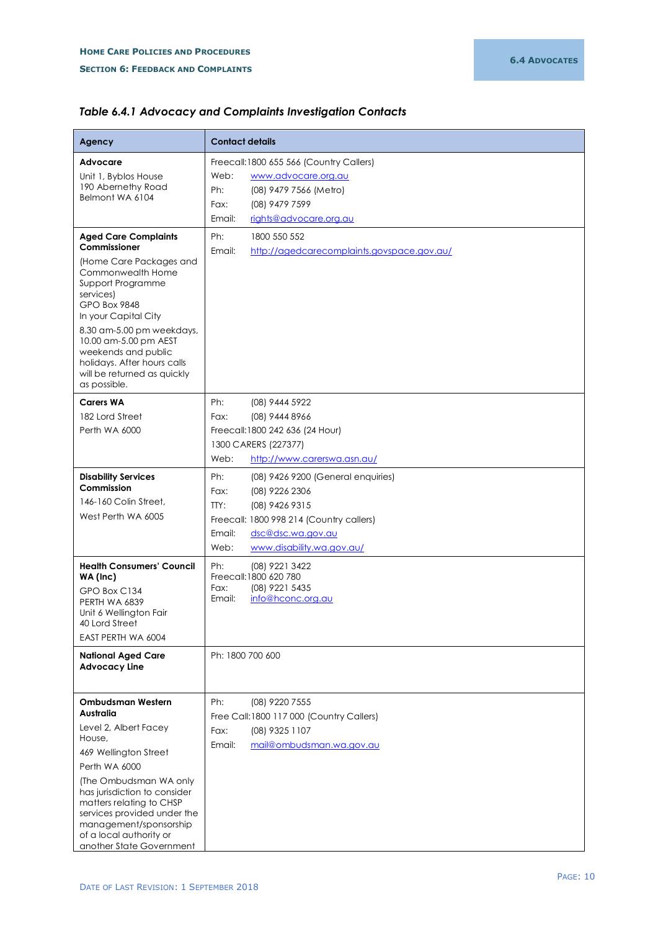| Agency                                                                                                                                                                                                                                                                                                            | <b>Contact details</b>                                                                                                                                                                                                                               |  |  |
|-------------------------------------------------------------------------------------------------------------------------------------------------------------------------------------------------------------------------------------------------------------------------------------------------------------------|------------------------------------------------------------------------------------------------------------------------------------------------------------------------------------------------------------------------------------------------------|--|--|
| Advocare<br>Unit 1, Byblos House<br>190 Abernethy Road<br>Belmont WA 6104<br><b>Aged Care Complaints</b><br>Commissioner                                                                                                                                                                                          | Freecall:1800 655 566 (Country Callers)<br>Web:<br>www.advocare.org.au<br>Ph:<br>(08) 9479 7566 (Metro)<br>(08) 9479 7599<br>Fax:<br>Email:<br>rights@advocare.org.au<br>Ph:<br>1800 550 552<br>Email:<br>http://agedcarecomplaints.govspace.gov.au/ |  |  |
| (Home Care Packages and<br>Commonwealth Home<br>Support Programme<br>services)<br>GPO Box 9848<br>In your Capital City<br>8.30 am-5.00 pm weekdays,<br>10.00 am-5.00 pm AEST<br>weekends and public<br>holidays. After hours calls<br>will be returned as quickly<br>as possible.                                 |                                                                                                                                                                                                                                                      |  |  |
| <b>Carers WA</b><br>182 Lord Street<br>Perth WA 6000                                                                                                                                                                                                                                                              | Ph:<br>(08) 9444 5922<br>Fax:<br>(08) 9444 8966<br>Freecall: 1800 242 636 (24 Hour)<br>1300 CARERS (227377)<br>Web:<br>http://www.carerswa.asn.au/                                                                                                   |  |  |
| <b>Disability Services</b><br>Commission<br>146-160 Colin Street,<br>West Perth WA 6005                                                                                                                                                                                                                           | Ph:<br>(08) 9426 9200 (General enquiries)<br>Fax:<br>(08) 9226 2306<br>TTY:<br>(08) 9426 9315<br>Freecall: 1800 998 214 (Country callers)<br>Email:<br>dsc@dsc.wa.gov.au<br>Web:<br>www.disability.wa.gov.au/                                        |  |  |
| <b>Health Consumers' Council</b><br>WA (Inc)<br>GPO Box C134<br>PERTH WA 6839<br>Unit 6 Wellington Fair<br>40 Lord Street<br>EAST PERTH WA 6004<br><b>National Aged Care</b><br><b>Advocacy Line</b>                                                                                                              | Ph:<br>(08) 9221 3422<br>Freecall: 1800 620 780<br>(08) 9221 5435<br>Fax:<br>info@hconc.org.au<br>Email:<br>Ph: 1800 700 600                                                                                                                         |  |  |
| Ombudsman Western<br>Australia<br>Level 2, Albert Facey<br>House,<br>469 Wellington Street<br>Perth WA 6000<br>(The Ombudsman WA only<br>has jurisdiction to consider<br>matters relating to CHSP<br>services provided under the<br>management/sponsorship<br>of a local authority or<br>another State Government | Ph:<br>(08) 9220 7555<br>Free Call:1800 117 000 (Country Callers)<br>(08) 9325 1107<br>Fax:<br>mail@ombudsman.wa.gov.au<br>Email:                                                                                                                    |  |  |

# *Table 6.4.1 Advocacy and Complaints Investigation Contacts*